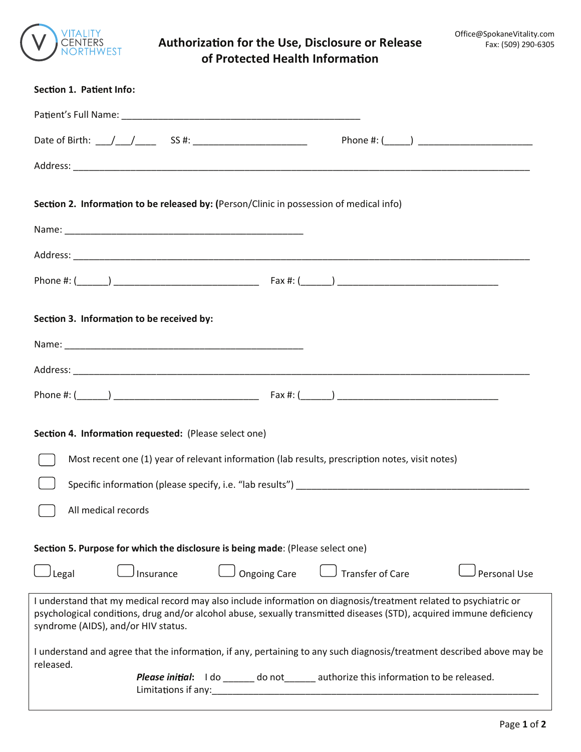

## **Authoriza on for the Use, Disclosure or Release of Protected Health Informa on**

| Section 1. Patient Info:                                                                                                                                                                                                                                                         |                                                                      |
|----------------------------------------------------------------------------------------------------------------------------------------------------------------------------------------------------------------------------------------------------------------------------------|----------------------------------------------------------------------|
|                                                                                                                                                                                                                                                                                  |                                                                      |
|                                                                                                                                                                                                                                                                                  |                                                                      |
|                                                                                                                                                                                                                                                                                  |                                                                      |
| Section 2. Information to be released by: (Person/Clinic in possession of medical info)                                                                                                                                                                                          |                                                                      |
|                                                                                                                                                                                                                                                                                  |                                                                      |
|                                                                                                                                                                                                                                                                                  |                                                                      |
|                                                                                                                                                                                                                                                                                  |                                                                      |
| Section 3. Information to be received by:                                                                                                                                                                                                                                        |                                                                      |
|                                                                                                                                                                                                                                                                                  |                                                                      |
|                                                                                                                                                                                                                                                                                  |                                                                      |
| Section 4. Information requested: (Please select one)                                                                                                                                                                                                                            |                                                                      |
| Most recent one (1) year of relevant information (lab results, prescription notes, visit notes)                                                                                                                                                                                  |                                                                      |
|                                                                                                                                                                                                                                                                                  |                                                                      |
| All medical records                                                                                                                                                                                                                                                              |                                                                      |
| Section 5. Purpose for which the disclosure is being made: (Please select one)                                                                                                                                                                                                   |                                                                      |
| <b>Ongoing Care</b><br>Legal<br>Insurance                                                                                                                                                                                                                                        | <b>Transfer of Care</b><br><b>Personal Use</b>                       |
| I understand that my medical record may also include information on diagnosis/treatment related to psychiatric or<br>psychological conditions, drug and/or alcohol abuse, sexually transmitted diseases (STD), acquired immune deficiency<br>syndrome (AIDS), and/or HIV status. |                                                                      |
| I understand and agree that the information, if any, pertaining to any such diagnosis/treatment described above may be<br>released.                                                                                                                                              |                                                                      |
| Please initial:<br>Limitations if any:                                                                                                                                                                                                                                           | I do ______ do not ______ authorize this information to be released. |